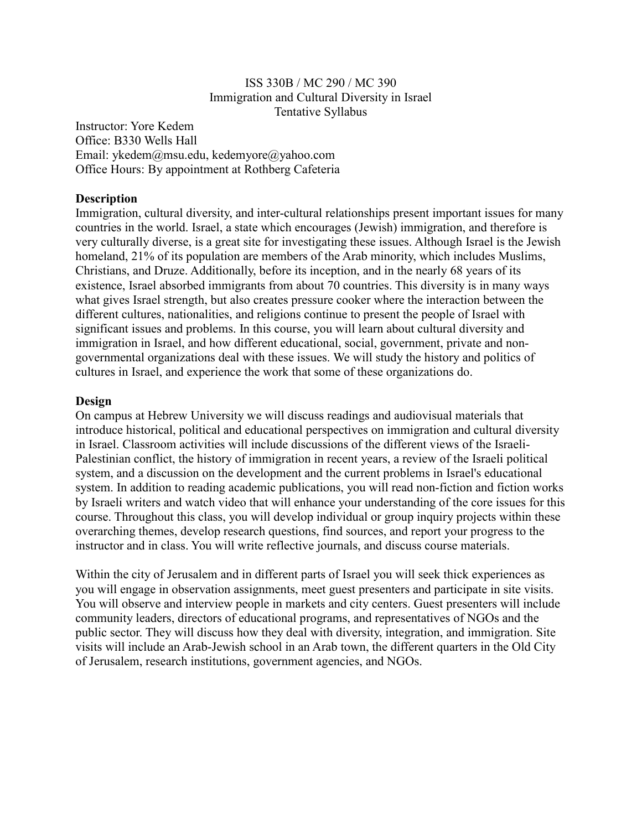#### ISS 330B / MC 290 / MC 390 Immigration and Cultural Diversity in Israel Tentative Syllabus

Instructor: Yore Kedem Office: B330 Wells Hall Email: ykedem@msu.edu, kedemyore@yahoo.com Office Hours: By appointment at Rothberg Cafeteria

#### **Description**

Immigration, cultural diversity, and inter-cultural relationships present important issues for many countries in the world. Israel, a state which encourages (Jewish) immigration, and therefore is very culturally diverse, is a great site for investigating these issues. Although Israel is the Jewish homeland, 21% of its population are members of the Arab minority, which includes Muslims, Christians, and Druze. Additionally, before its inception, and in the nearly 68 years of its existence, Israel absorbed immigrants from about 70 countries. This diversity is in many ways what gives Israel strength, but also creates pressure cooker where the interaction between the different cultures, nationalities, and religions continue to present the people of Israel with significant issues and problems. In this course, you will learn about cultural diversity and immigration in Israel, and how different educational, social, government, private and nongovernmental organizations deal with these issues. We will study the history and politics of cultures in Israel, and experience the work that some of these organizations do.

#### **Design**

On campus at Hebrew University we will discuss readings and audiovisual materials that introduce historical, political and educational perspectives on immigration and cultural diversity in Israel. Classroom activities will include discussions of the different views of the Israeli-Palestinian conflict, the history of immigration in recent years, a review of the Israeli political system, and a discussion on the development and the current problems in Israel's educational system. In addition to reading academic publications, you will read non-fiction and fiction works by Israeli writers and watch video that will enhance your understanding of the core issues for this course. Throughout this class, you will develop individual or group inquiry projects within these overarching themes, develop research questions, find sources, and report your progress to the instructor and in class. You will write reflective journals, and discuss course materials.

Within the city of Jerusalem and in different parts of Israel you will seek thick experiences as you will engage in observation assignments, meet guest presenters and participate in site visits. You will observe and interview people in markets and city centers. Guest presenters will include community leaders, directors of educational programs, and representatives of NGOs and the public sector. They will discuss how they deal with diversity, integration, and immigration. Site visits will include an Arab-Jewish school in an Arab town, the different quarters in the Old City of Jerusalem, research institutions, government agencies, and NGOs.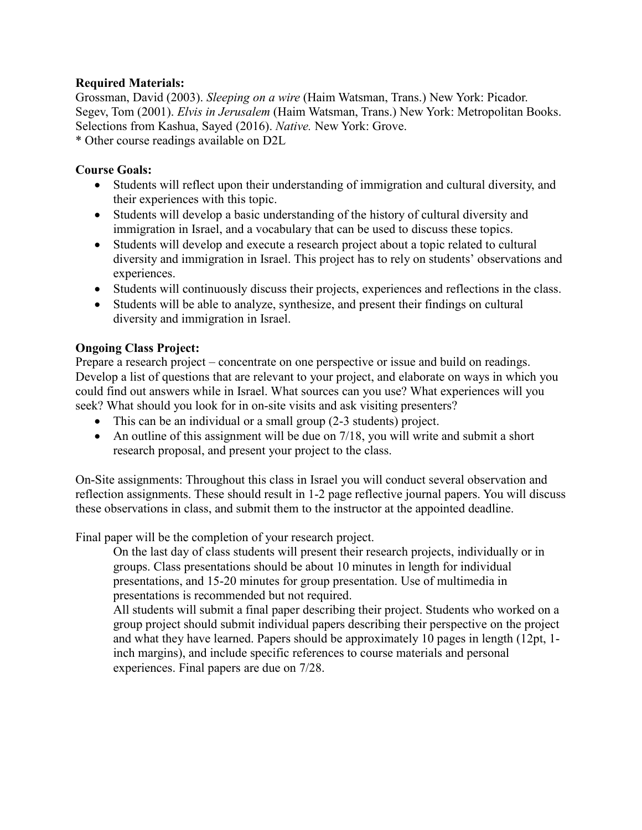## **Required Materials:**

Grossman, David (2003). *Sleeping on a wire* (Haim Watsman, Trans.) New York: Picador. Segev, Tom (2001). *Elvis in Jerusalem* (Haim Watsman, Trans.) New York: Metropolitan Books. Selections from Kashua, Sayed (2016). *Native.* New York: Grove. \* Other course readings available on D2L

## **Course Goals:**

- Students will reflect upon their understanding of immigration and cultural diversity, and their experiences with this topic.
- Students will develop a basic understanding of the history of cultural diversity and immigration in Israel, and a vocabulary that can be used to discuss these topics.
- Students will develop and execute a research project about a topic related to cultural diversity and immigration in Israel. This project has to rely on students' observations and experiences.
- Students will continuously discuss their projects, experiences and reflections in the class.
- Students will be able to analyze, synthesize, and present their findings on cultural diversity and immigration in Israel.

## **Ongoing Class Project:**

Prepare a research project – concentrate on one perspective or issue and build on readings. Develop a list of questions that are relevant to your project, and elaborate on ways in which you could find out answers while in Israel. What sources can you use? What experiences will you seek? What should you look for in on-site visits and ask visiting presenters?

- This can be an individual or a small group (2-3 students) project.
- An outline of this assignment will be due on 7/18, you will write and submit a short research proposal, and present your project to the class.

On-Site assignments: Throughout this class in Israel you will conduct several observation and reflection assignments. These should result in 1-2 page reflective journal papers. You will discuss these observations in class, and submit them to the instructor at the appointed deadline.

Final paper will be the completion of your research project.

On the last day of class students will present their research projects, individually or in groups. Class presentations should be about 10 minutes in length for individual presentations, and 15-20 minutes for group presentation. Use of multimedia in presentations is recommended but not required.

All students will submit a final paper describing their project. Students who worked on a group project should submit individual papers describing their perspective on the project and what they have learned. Papers should be approximately 10 pages in length (12pt, 1 inch margins), and include specific references to course materials and personal experiences. Final papers are due on 7/28.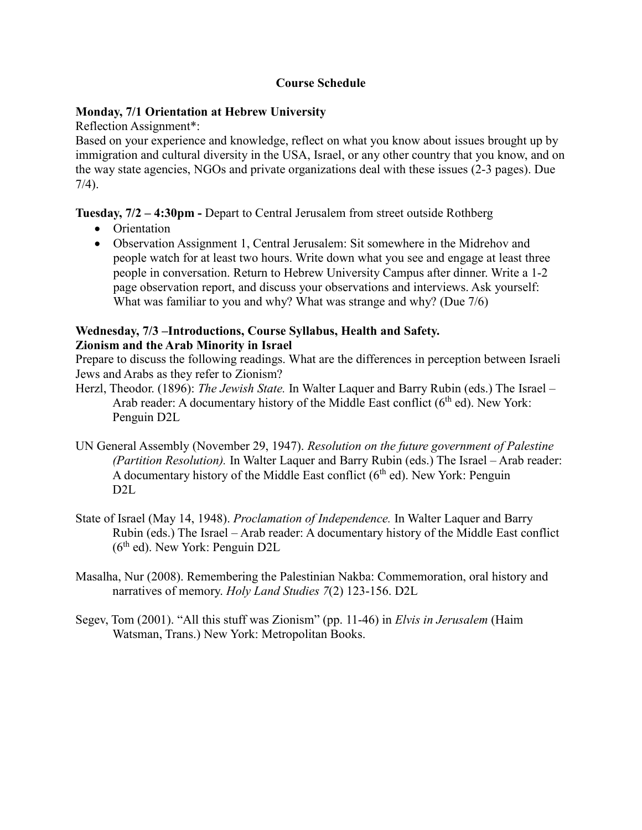# **Course Schedule**

## **Monday, 7/1 Orientation at Hebrew University**

Reflection Assignment\*:

Based on your experience and knowledge, reflect on what you know about issues brought up by immigration and cultural diversity in the USA, Israel, or any other country that you know, and on the way state agencies, NGOs and private organizations deal with these issues (2-3 pages). Due 7/4).

**Tuesday, 7/2 – 4:30pm -** Depart to Central Jerusalem from street outside Rothberg

- Orientation
- Observation Assignment 1, Central Jerusalem: Sit somewhere in the Midrehov and people watch for at least two hours. Write down what you see and engage at least three people in conversation. Return to Hebrew University Campus after dinner. Write a 1-2 page observation report, and discuss your observations and interviews. Ask yourself: What was familiar to you and why? What was strange and why? (Due 7/6)

#### **Wednesday, 7/3 –Introductions, Course Syllabus, Health and Safety. Zionism and the Arab Minority in Israel**

Prepare to discuss the following readings. What are the differences in perception between Israeli Jews and Arabs as they refer to Zionism?

- Herzl, Theodor. (1896): *The Jewish State.* In Walter Laquer and Barry Rubin (eds.) The Israel Arab reader: A documentary history of the Middle East conflict  $(6<sup>th</sup>$ ed). New York: Penguin D2L
- UN General Assembly (November 29, 1947). *Resolution on the future government of Palestine (Partition Resolution).* In Walter Laquer and Barry Rubin (eds.) The Israel – Arab reader: A documentary history of the Middle East conflict  $(6<sup>th</sup>$  ed). New York: Penguin D2L
- State of Israel (May 14, 1948). *Proclamation of Independence.* In Walter Laquer and Barry Rubin (eds.) The Israel – Arab reader: A documentary history of the Middle East conflict  $(6<sup>th</sup>$  ed). New York: Penguin D2L
- Masalha, Nur (2008). Remembering the Palestinian Nakba: Commemoration, oral history and narratives of memory. *Holy Land Studies 7*(2) 123-156. D2L
- Segev, Tom (2001). "All this stuff was Zionism" (pp. 11-46) in *Elvis in Jerusalem* (Haim Watsman, Trans.) New York: Metropolitan Books.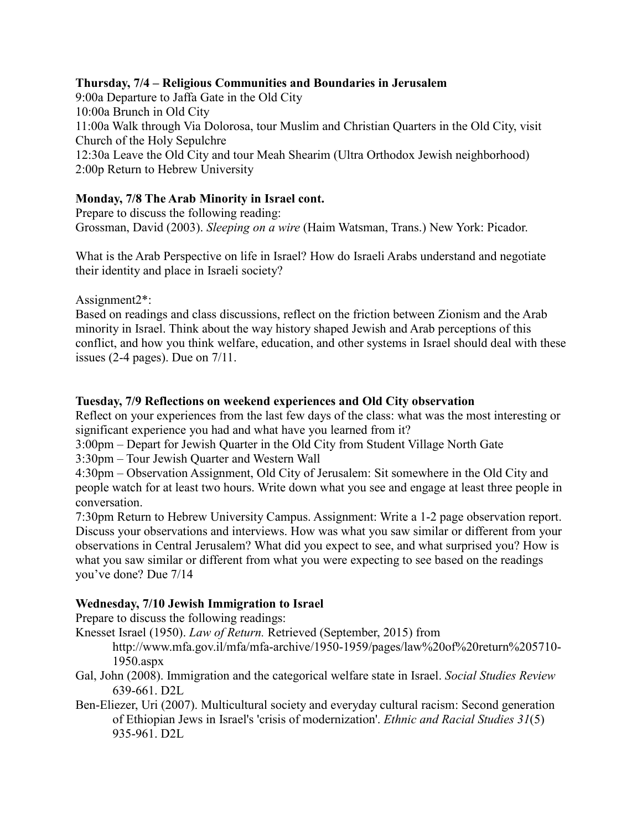## **Thursday, 7/4 – Religious Communities and Boundaries in Jerusalem**

9:00a Departure to Jaffa Gate in the Old City 10:00a Brunch in Old City 11:00a Walk through Via Dolorosa, tour Muslim and Christian Quarters in the Old City, visit Church of the Holy Sepulchre 12:30a Leave the Old City and tour Meah Shearim (Ultra Orthodox Jewish neighborhood) 2:00p Return to Hebrew University

# **Monday, 7/8 The Arab Minority in Israel cont.**

Prepare to discuss the following reading: Grossman, David (2003). *Sleeping on a wire* (Haim Watsman, Trans.) New York: Picador.

What is the Arab Perspective on life in Israel? How do Israeli Arabs understand and negotiate their identity and place in Israeli society?

Assignment2\*:

Based on readings and class discussions, reflect on the friction between Zionism and the Arab minority in Israel. Think about the way history shaped Jewish and Arab perceptions of this conflict, and how you think welfare, education, and other systems in Israel should deal with these issues (2-4 pages). Due on 7/11.

## **Tuesday, 7/9 Reflections on weekend experiences and Old City observation**

Reflect on your experiences from the last few days of the class: what was the most interesting or significant experience you had and what have you learned from it?

3:00pm – Depart for Jewish Quarter in the Old City from Student Village North Gate

3:30pm – Tour Jewish Quarter and Western Wall

4:30pm – Observation Assignment, Old City of Jerusalem: Sit somewhere in the Old City and people watch for at least two hours. Write down what you see and engage at least three people in conversation.

7:30pm Return to Hebrew University Campus. Assignment: Write a 1-2 page observation report. Discuss your observations and interviews. How was what you saw similar or different from your observations in Central Jerusalem? What did you expect to see, and what surprised you? How is what you saw similar or different from what you were expecting to see based on the readings you've done? Due 7/14

## **Wednesday, 7/10 Jewish Immigration to Israel**

Prepare to discuss the following readings:

- Knesset Israel (1950). *Law of Return.* Retrieved (September, 2015) from http://www.mfa.gov.il/mfa/mfa-archive/1950-1959/pages/law%20of%20return%205710- 1950.aspx
- Gal, John (2008). Immigration and the categorical welfare state in Israel. *Social Studies Review* 639-661. D2L
- Ben-Eliezer, Uri (2007). Multicultural society and everyday cultural racism: Second generation of Ethiopian Jews in Israel's 'crisis of modernization'. *Ethnic and Racial Studies 31*(5) 935-961. D2L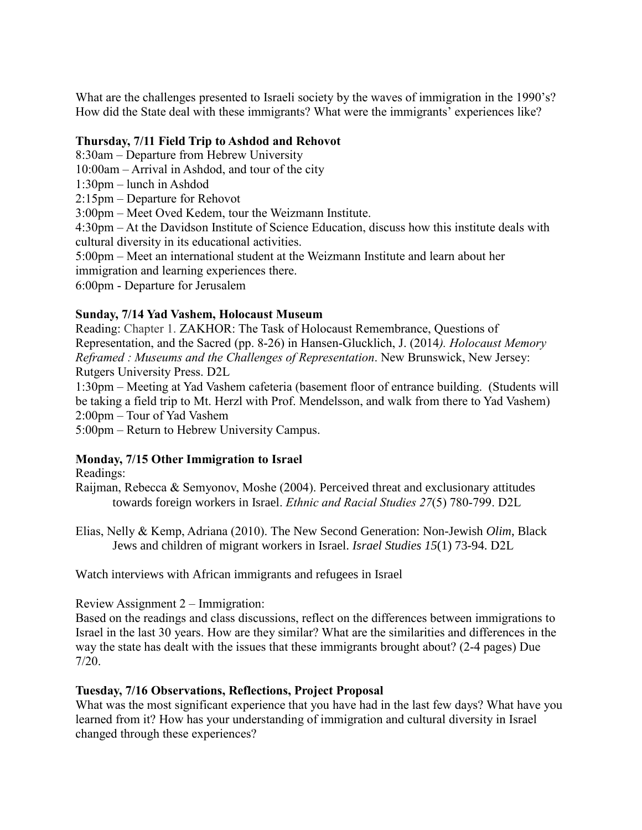What are the challenges presented to Israeli society by the waves of immigration in the 1990's? How did the State deal with these immigrants? What were the immigrants' experiences like?

## **Thursday, 7/11 Field Trip to Ashdod and Rehovot**

8:30am – Departure from Hebrew University

10:00am – Arrival in Ashdod, and tour of the city

1:30pm – lunch in Ashdod

2:15pm – Departure for Rehovot

3:00pm – Meet Oved Kedem, tour the Weizmann Institute.

4:30pm – At the Davidson Institute of Science Education, discuss how this institute deals with cultural diversity in its educational activities.

5:00pm – Meet an international student at the Weizmann Institute and learn about her immigration and learning experiences there.

6:00pm - Departure for Jerusalem

## **Sunday, 7/14 Yad Vashem, Holocaust Museum**

Reading: Chapter 1. ZAKHOR: The Task of Holocaust Remembrance, Questions of Representation, and the Sacred (pp. 8-26) in Hansen-Glucklich, J. (2014*). Holocaust Memory Reframed : Museums and the Challenges of Representation*. New Brunswick, New Jersey: Rutgers University Press. D2L

1:30pm – Meeting at Yad Vashem cafeteria (basement floor of entrance building. (Students will be taking a field trip to Mt. Herzl with Prof. Mendelsson, and walk from there to Yad Vashem) 2:00pm – Tour of Yad Vashem

5:00pm – Return to Hebrew University Campus.

## **Monday, 7/15 Other Immigration to Israel**

Readings:

Raijman, Rebecca & Semyonov, Moshe (2004). Perceived threat and exclusionary attitudes towards foreign workers in Israel. *Ethnic and Racial Studies 27*(5) 780-799. D2L

Elias, Nelly & Kemp, Adriana (2010). The New Second Generation: Non-Jewish *Olim*, Black Jews and children of migrant workers in Israel. *Israel Studies 15*(1) 73-94. D2L

Watch interviews with African immigrants and refugees in Israel

Review Assignment 2 – Immigration:

Based on the readings and class discussions, reflect on the differences between immigrations to Israel in the last 30 years. How are they similar? What are the similarities and differences in the way the state has dealt with the issues that these immigrants brought about? (2-4 pages) Due 7/20.

### **Tuesday, 7/16 Observations, Reflections, Project Proposal**

What was the most significant experience that you have had in the last few days? What have you learned from it? How has your understanding of immigration and cultural diversity in Israel changed through these experiences?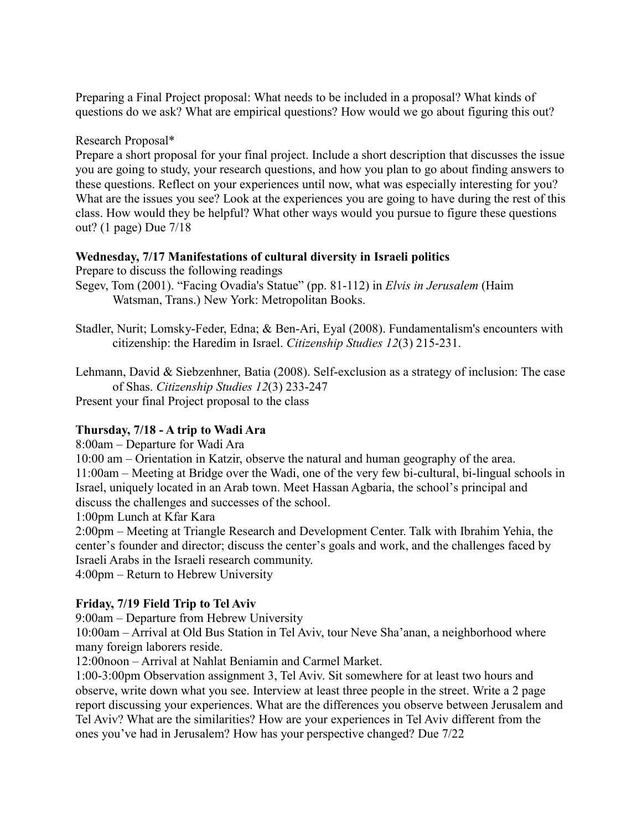Preparing a Final Project proposal: What needs to be included in a proposal? What kinds of questions do we ask? What are empirical questions? How would we go about figuring this out?

Research Proposal\*

Prepare a short proposal for your final project. Include a short description that discusses the issue you are going to study, your research questions, and how you plan to go about finding answers to these questions. Reflect on your experiences until now, what was especially interesting for you? What are the issues you see? Look at the experiences you are going to have during the rest of this class. How would they be helpful? What other ways would you pursue to figure these questions out? (1 page) Due 7/18

## **Wednesday, 7/17 Manifestations of cultural diversity in Israeli politics**

Prepare to discuss the following readings

- Segev, Tom (2001). "Facing Ovadia's Statue" (pp. 81-112) in *Elvis in Jerusalem* (Haim Watsman, Trans.) New York: Metropolitan Books.
- Stadler, Nurit; Lomsky-Feder, Edna; & Ben-Ari, Eyal (2008). Fundamentalism's encounters with citizenship: the Haredim in Israel. *Citizenship Studies 12*(3) 215-231.

Lehmann, David & Siebzenhner, Batia (2008). Self-exclusion as a strategy of inclusion: The case of Shas. *Citizenship Studies 12*(3) 233-247

Present your final Project proposal to the class

# **Thursday, 7/18 - A trip to Wadi Ara**

8:00am – Departure for Wadi Ara

10:00 am – Orientation in Katzir, observe the natural and human geography of the area. 11:00am – Meeting at Bridge over the Wadi, one of the very few bi-cultural, bi-lingual schools in Israel, uniquely located in an Arab town. Meet Hassan Agbaria, the school's principal and discuss the challenges and successes of the school.

1:00pm Lunch at Kfar Kara

2:00pm – Meeting at Triangle Research and Development Center. Talk with Ibrahim Yehia, the center's founder and director; discuss the center's goals and work, and the challenges faced by Israeli Arabs in the Israeli research community.

4:00pm – Return to Hebrew University

# **Friday, 7/19 Field Trip to Tel Aviv**

9:00am – Departure from Hebrew University

10:00am – Arrival at Old Bus Station in Tel Aviv, tour Neve Sha'anan, a neighborhood where many foreign laborers reside.

12:00noon – Arrival at Nahlat Beniamin and Carmel Market.

1:00-3:00pm Observation assignment 3, Tel Aviv. Sit somewhere for at least two hours and observe, write down what you see. Interview at least three people in the street. Write a 2 page report discussing your experiences. What are the differences you observe between Jerusalem and Tel Aviv? What are the similarities? How are your experiences in Tel Aviv different from the ones you've had in Jerusalem? How has your perspective changed? Due 7/22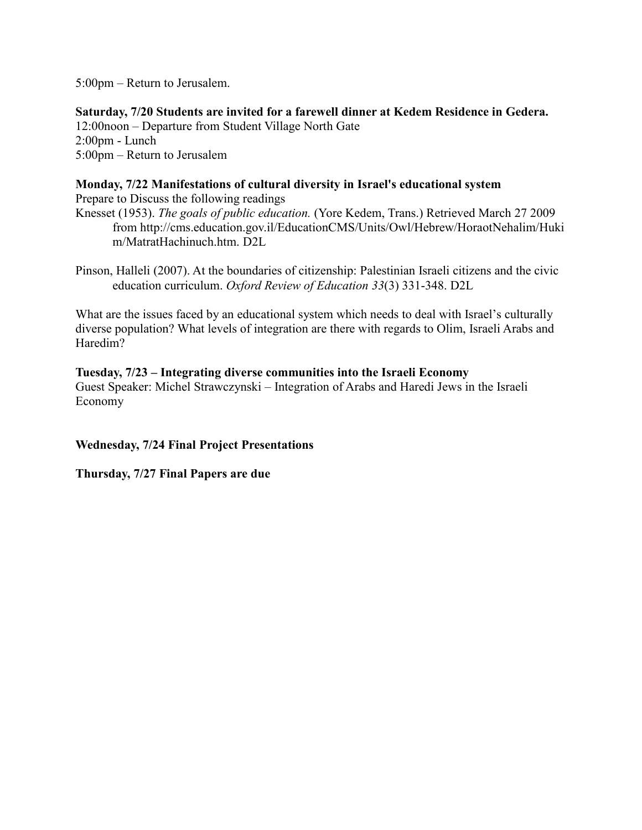5:00pm – Return to Jerusalem.

**Saturday, 7/20 Students are invited for a farewell dinner at Kedem Residence in Gedera.** 12:00noon – Departure from Student Village North Gate 2:00pm - Lunch 5:00pm – Return to Jerusalem

## **Monday, 7/22 Manifestations of cultural diversity in Israel's educational system**

Prepare to Discuss the following readings Knesset (1953). *The goals of public education.* (Yore Kedem, Trans.) Retrieved March 27 2009 from http://cms.education.gov.il/EducationCMS/Units/Owl/Hebrew/HoraotNehalim/Huki m/MatratHachinuch.htm. D2L

Pinson, Halleli (2007). At the boundaries of citizenship: Palestinian Israeli citizens and the civic education curriculum. *Oxford Review of Education 33*(3) 331-348. D2L

What are the issues faced by an educational system which needs to deal with Israel's culturally diverse population? What levels of integration are there with regards to Olim, Israeli Arabs and Haredim?

### **Tuesday, 7/23 – Integrating diverse communities into the Israeli Economy**

Guest Speaker: Michel Strawczynski – Integration of Arabs and Haredi Jews in the Israeli Economy

## **Wednesday, 7/24 Final Project Presentations**

### **Thursday, 7/27 Final Papers are due**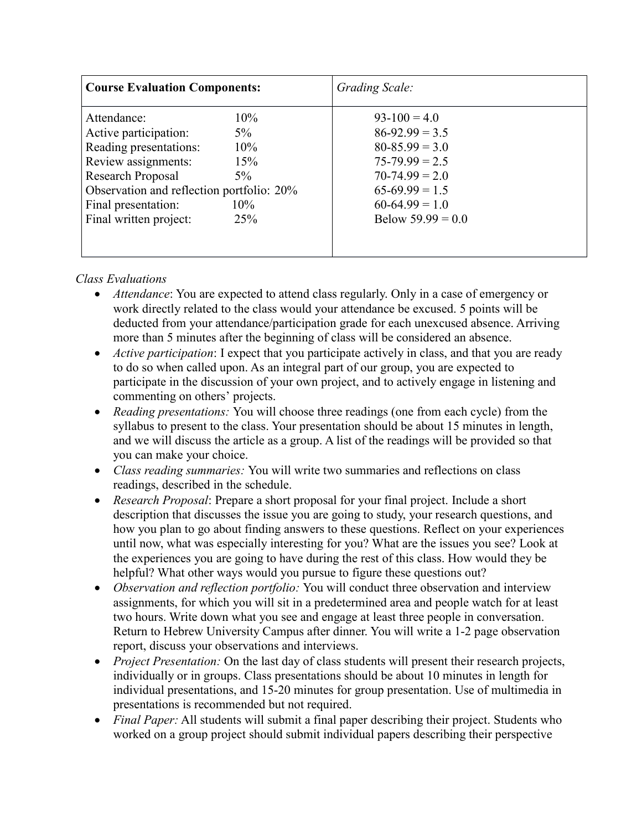| <b>Course Evaluation Components:</b>                                                                                                                                                                                                        |                      | Grading Scale:                                                                                                                                                  |
|---------------------------------------------------------------------------------------------------------------------------------------------------------------------------------------------------------------------------------------------|----------------------|-----------------------------------------------------------------------------------------------------------------------------------------------------------------|
| Attendance:<br>Active participation:<br>$5\%$<br>Reading presentations:<br>Review assignments:<br>Research Proposal<br>$5\%$<br>Observation and reflection portfolio: 20%<br>Final presentation:<br>$10\%$<br>Final written project:<br>25% | $10\%$<br>10%<br>15% | $93-100=4.0$<br>$86-92.99 = 3.5$<br>$80 - 85.99 = 3.0$<br>$75 - 79.99 = 2.5$<br>$70-74.99 = 2.0$<br>$65-69.99 = 1.5$<br>$60-64.99 = 1.0$<br>Below $59.99 = 0.0$ |

# *Class Evaluations*

- *Attendance*: You are expected to attend class regularly. Only in a case of emergency or work directly related to the class would your attendance be excused. 5 points will be deducted from your attendance/participation grade for each unexcused absence. Arriving more than 5 minutes after the beginning of class will be considered an absence.
- *Active participation*: I expect that you participate actively in class, and that you are ready to do so when called upon. As an integral part of our group, you are expected to participate in the discussion of your own project, and to actively engage in listening and commenting on others' projects.
- *Reading presentations:* You will choose three readings (one from each cycle) from the syllabus to present to the class. Your presentation should be about 15 minutes in length, and we will discuss the article as a group. A list of the readings will be provided so that you can make your choice.
- *Class reading summaries:* You will write two summaries and reflections on class readings, described in the schedule.
- *Research Proposal*: Prepare a short proposal for your final project. Include a short description that discusses the issue you are going to study, your research questions, and how you plan to go about finding answers to these questions. Reflect on your experiences until now, what was especially interesting for you? What are the issues you see? Look at the experiences you are going to have during the rest of this class. How would they be helpful? What other ways would you pursue to figure these questions out?
- *Observation and reflection portfolio:* You will conduct three observation and interview assignments, for which you will sit in a predetermined area and people watch for at least two hours. Write down what you see and engage at least three people in conversation. Return to Hebrew University Campus after dinner. You will write a 1-2 page observation report, discuss your observations and interviews.
- *Project Presentation:* On the last day of class students will present their research projects, individually or in groups. Class presentations should be about 10 minutes in length for individual presentations, and 15-20 minutes for group presentation. Use of multimedia in presentations is recommended but not required.
- *Final Paper:* All students will submit a final paper describing their project. Students who worked on a group project should submit individual papers describing their perspective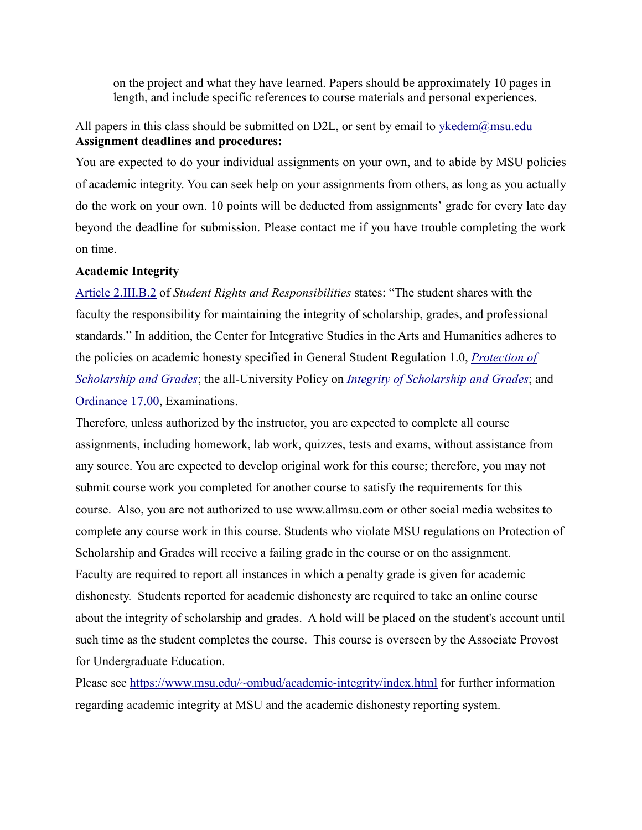on the project and what they have learned. Papers should be approximately 10 pages in length, and include specific references to course materials and personal experiences.

# All papers in this class should be submitted on D2L, or sent by email to  $y$ kedem@msu.edu **Assignment deadlines and procedures:**

You are expected to do your individual assignments on your own, and to abide by MSU policies of academic integrity. You can seek help on your assignments from others, as long as you actually do the work on your own. 10 points will be deducted from assignments' grade for every late day beyond the deadline for submission. Please contact me if you have trouble completing the work on time.

#### **Academic Integrity**

Article [2.III.B.2](http://splife.studentlife.msu.edu/academic-freedom-for-students-at-michigan-state-university/article-2-academic-rights-and-responsibilities) of *Student Rights and Responsibilities* states: "The student shares with the faculty the responsibility for maintaining the integrity of scholarship, grades, and professional standards." In addition, the Center for Integrative Studies in the Arts and Humanities adheres to the policies on academic honesty specified in General Student Regulation 1.0, *[Protection](http://splife.studentlife.msu.edu/regulations/general-student-regulations) of [Scholarship](http://splife.studentlife.msu.edu/regulations/general-student-regulations) and Grades*; the all-University Policy on *Integrity of [Scholarship](http://www.reg.msu.edu/AcademicPrograms/Print.asp?Section=534) and Grades*; and [Ordinance](http://splife.studentlife.msu.edu/regulations/student-group-regulations-administrative-rulings-all-university-policies-and-selected-ordinances/examinations-ordinance-17-00) 17.00, Examinations.

Therefore, unless authorized by the instructor, you are expected to complete all course assignments, including homework, lab work, quizzes, tests and exams, without assistance from any source. You are expected to develop original work for this course; therefore, you may not submit course work you completed for another course to satisfy the requirements for this course. Also, you are not authorized to use www.allmsu.com or other social media websites to complete any course work in this course. Students who violate MSU regulations on Protection of Scholarship and Grades will receive a failing grade in the course or on the assignment. Faculty are required to report all instances in which a penalty grade is given for academic dishonesty. Students reported for academic dishonesty are required to take an online course about the integrity of scholarship and grades. A hold will be placed on the student's account until such time as the student completes the course. This course is overseen by the Associate Provost for Undergraduate Education.

Please see <https://www.msu.edu/~ombud/academic-integrity/index.html> for further information regarding academic integrity at MSU and the academic dishonesty reporting system.